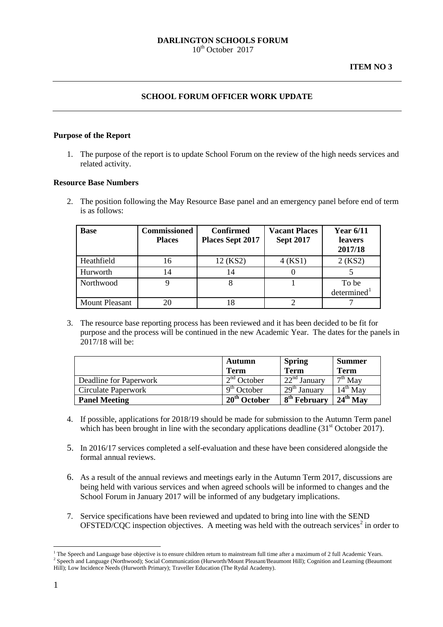## **SCHOOL FORUM OFFICER WORK UPDATE**

## **Purpose of the Report**

1. The purpose of the report is to update School Forum on the review of the high needs services and related activity.

#### **Resource Base Numbers**

2. The position following the May Resource Base panel and an emergency panel before end of term is as follows:

| <b>Base</b>           | <b>Commissioned</b><br><b>Places</b> | <b>Confirmed</b><br><b>Places Sept 2017</b> | <b>Vacant Places</b><br><b>Sept 2017</b> | Year $6/11$<br><b>leavers</b><br>2017/18 |
|-----------------------|--------------------------------------|---------------------------------------------|------------------------------------------|------------------------------------------|
| Heathfield            | 16                                   | 12 (KS2)                                    | 4 (KS1)                                  | 2 (KS2)                                  |
| Hurworth              | 14                                   | 14                                          |                                          |                                          |
| Northwood             |                                      |                                             |                                          | To be<br>determined <sup>1</sup>         |
| <b>Mount Pleasant</b> | 20                                   | 18                                          |                                          |                                          |

3. The resource base reporting process has been reviewed and it has been decided to be fit for purpose and the process will be continued in the new Academic Year. The dates for the panels in  $2017/18$  will be:

|                        | Autumn<br><b>Term</b>              | <b>Spring</b><br><b>Term</b>        | <b>Summer</b><br><b>Term</b> |
|------------------------|------------------------------------|-------------------------------------|------------------------------|
| Deadline for Paperwork | 2 <sup>nd</sup> October            | $\overline{22}^{\text{nd}}$ January | $\overline{\sigma^{th}}$ May |
| Circulate Paperwork    | 9 <sup>th</sup> October            | $-29th$ January                     | $14^{th}$ May                |
| <b>Panel Meeting</b>   | 20 <sup>th</sup><br><b>October</b> | $+8^{th}$ February                  | $24th$ May                   |

- 4. If possible, applications for 2018/19 should be made for submission to the Autumn Term panel which has been brought in line with the secondary applications deadline  $(31<sup>st</sup> October 2017)$ .
- 5. In 2016/17 services completed a self-evaluation and these have been considered alongside the formal annual reviews.
- 6. As a result of the annual reviews and meetings early in the Autumn Term 2017, discussions are being held with various services and when agreed schools will be informed to changes and the School Forum in January 2017 will be informed of any budgetary implications.
- 7. Service specifications have been reviewed and updated to bring into line with the SEND  $OFSTED/CQC$  inspection objectives. A meeting was held with the outreach services<sup>[2](#page-0-1)</sup> in order to

<span id="page-0-1"></span><span id="page-0-0"></span><sup>&</sup>lt;sup>1</sup> The Speech and Language base objective is to ensure children return to mainstream full time after a maximum of 2 full Academic Years. <sup>2</sup> Speech and Language (Northwood); Social Communication (Hurworth/Mount Pleasant/Beaumont Hill); Cognition and Learning (Beaumont Hill); Low Incidence Needs (Hurworth Primary); Traveller Education (The Rydal Academy). -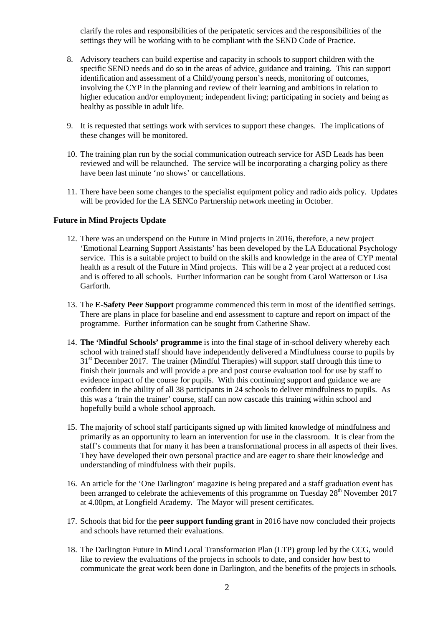clarify the roles and responsibilities of the peripatetic services and the responsibilities of the settings they will be working with to be compliant with the SEND Code of Practice.

- 8. Advisory teachers can build expertise and capacity in schools to support children with the specific SEND needs and do so in the areas of advice, guidance and training. This can support identification and assessment of a Child/young person's needs, monitoring of outcomes, involving the CYP in the planning and review of their learning and ambitions in relation to higher education and/or employment; independent living; participating in society and being as healthy as possible in adult life.
- 9. It is requested that settings work with services to support these changes. The implications of these changes will be monitored.
- 10. The training plan run by the social communication outreach service for ASD Leads has been reviewed and will be relaunched. The service will be incorporating a charging policy as there have been last minute 'no shows' or cancellations.
- 11. There have been some changes to the specialist equipment policy and radio aids policy. Updates will be provided for the LA SENCo Partnership network meeting in October.

## **Future in Mind Projects Update**

- 12. There was an underspend on the Future in Mind projects in 2016, therefore, a new project 'Emotional Learning Support Assistants' has been developed by the LA Educational Psychology service. This is a suitable project to build on the skills and knowledge in the area of CYP mental health as a result of the Future in Mind projects. This will be a 2 year project at a reduced cost and is offered to all schools. Further information can be sought from Carol Watterson or Lisa Garforth.
- 13. The **E-Safety Peer Support** programme commenced this term in most of the identified settings. There are plans in place for baseline and end assessment to capture and report on impact of the programme. Further information can be sought from Catherine Shaw.
- 14. **The 'Mindful Schools' programme** is into the final stage of in-school delivery whereby each school with trained staff should have independently delivered a Mindfulness course to pupils by 31<sup>st</sup> December 2017. The trainer (Mindful Therapies) will support staff through this time to finish their journals and will provide a pre and post course evaluation tool for use by staff to evidence impact of the course for pupils. With this continuing support and guidance we are confident in the ability of all 38 participants in 24 schools to deliver mindfulness to pupils. As this was a 'train the trainer' course, staff can now cascade this training within school and hopefully build a whole school approach.
- 15. The majority of school staff participants signed up with limited knowledge of mindfulness and primarily as an opportunity to learn an intervention for use in the classroom. It is clear from the staff's comments that for many it has been a transformational process in all aspects of their lives. They have developed their own personal practice and are eager to share their knowledge and understanding of mindfulness with their pupils.
- 16. An article for the 'One Darlington' magazine is being prepared and a staff graduation event has been arranged to celebrate the achievements of this programme on Tuesday 28<sup>th</sup> November 2017 at 4.00pm, at Longfield Academy. The Mayor will present certificates.
- 17. Schools that bid for the **peer support funding grant** in 2016 have now concluded their projects and schools have returned their evaluations.
- 18. The Darlington Future in Mind Local Transformation Plan (LTP) group led by the CCG, would like to review the evaluations of the projects in schools to date, and consider how best to communicate the great work been done in Darlington, and the benefits of the projects in schools.